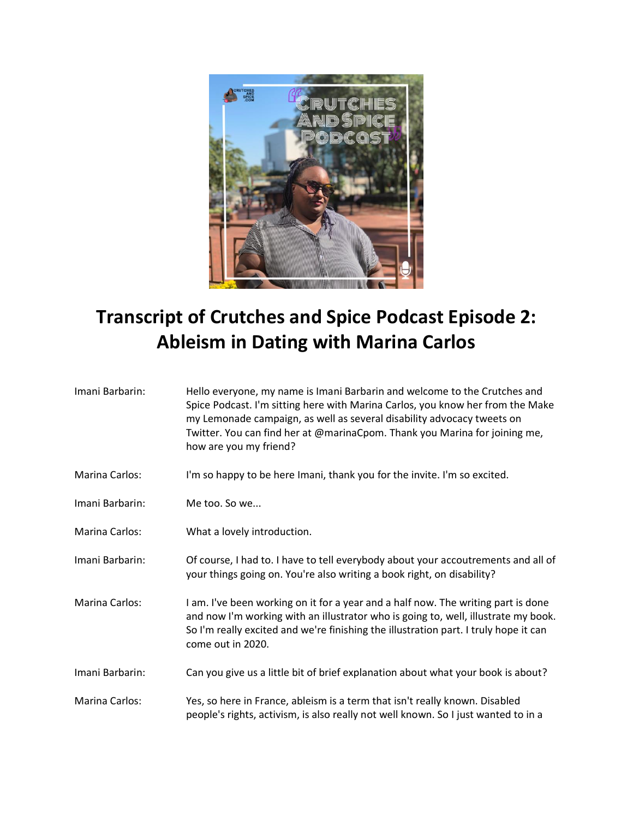

## **Transcript of Crutches and Spice Podcast Episode 2: Ableism in Dating with Marina Carlos**

| Imani Barbarin: | Hello everyone, my name is Imani Barbarin and welcome to the Crutches and<br>Spice Podcast. I'm sitting here with Marina Carlos, you know her from the Make<br>my Lemonade campaign, as well as several disability advocacy tweets on<br>Twitter. You can find her at @marinaCpom. Thank you Marina for joining me,<br>how are you my friend? |
|-----------------|-----------------------------------------------------------------------------------------------------------------------------------------------------------------------------------------------------------------------------------------------------------------------------------------------------------------------------------------------|
| Marina Carlos:  | I'm so happy to be here Imani, thank you for the invite. I'm so excited.                                                                                                                                                                                                                                                                      |
| Imani Barbarin: | Me too. So we                                                                                                                                                                                                                                                                                                                                 |
| Marina Carlos:  | What a lovely introduction.                                                                                                                                                                                                                                                                                                                   |
| Imani Barbarin: | Of course, I had to. I have to tell everybody about your accoutrements and all of<br>your things going on. You're also writing a book right, on disability?                                                                                                                                                                                   |
| Marina Carlos:  | I am. I've been working on it for a year and a half now. The writing part is done<br>and now I'm working with an illustrator who is going to, well, illustrate my book.<br>So I'm really excited and we're finishing the illustration part. I truly hope it can<br>come out in 2020.                                                          |
| Imani Barbarin: | Can you give us a little bit of brief explanation about what your book is about?                                                                                                                                                                                                                                                              |
| Marina Carlos:  | Yes, so here in France, ableism is a term that isn't really known. Disabled<br>people's rights, activism, is also really not well known. So I just wanted to in a                                                                                                                                                                             |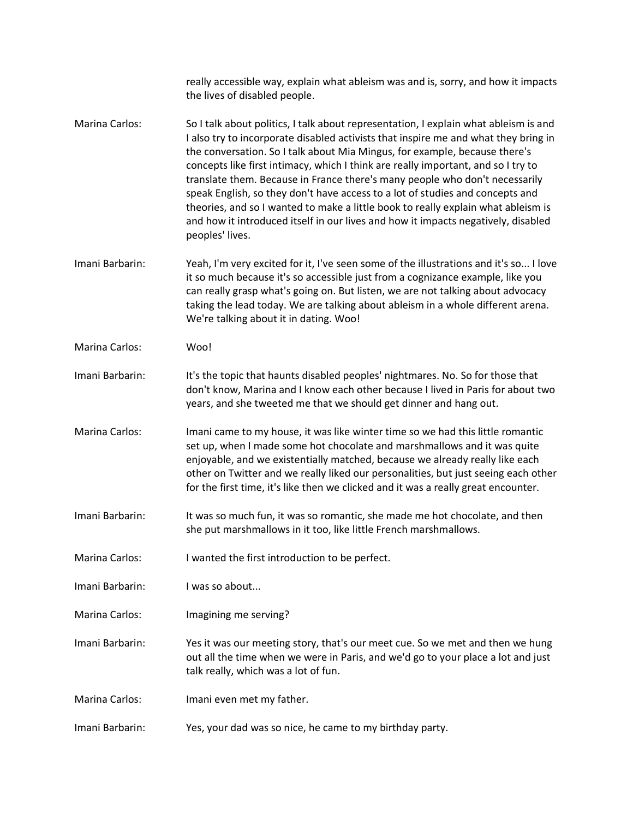|                       | really accessible way, explain what ableism was and is, sorry, and how it impacts<br>the lives of disabled people.                                                                                                                                                                                                                                                                                                                                                                                                                                                                                                                                                                                          |
|-----------------------|-------------------------------------------------------------------------------------------------------------------------------------------------------------------------------------------------------------------------------------------------------------------------------------------------------------------------------------------------------------------------------------------------------------------------------------------------------------------------------------------------------------------------------------------------------------------------------------------------------------------------------------------------------------------------------------------------------------|
| <b>Marina Carlos:</b> | So I talk about politics, I talk about representation, I explain what ableism is and<br>I also try to incorporate disabled activists that inspire me and what they bring in<br>the conversation. So I talk about Mia Mingus, for example, because there's<br>concepts like first intimacy, which I think are really important, and so I try to<br>translate them. Because in France there's many people who don't necessarily<br>speak English, so they don't have access to a lot of studies and concepts and<br>theories, and so I wanted to make a little book to really explain what ableism is<br>and how it introduced itself in our lives and how it impacts negatively, disabled<br>peoples' lives. |
| Imani Barbarin:       | Yeah, I'm very excited for it, I've seen some of the illustrations and it's so I love<br>it so much because it's so accessible just from a cognizance example, like you<br>can really grasp what's going on. But listen, we are not talking about advocacy<br>taking the lead today. We are talking about ableism in a whole different arena.<br>We're talking about it in dating. Woo!                                                                                                                                                                                                                                                                                                                     |
| Marina Carlos:        | Woo!                                                                                                                                                                                                                                                                                                                                                                                                                                                                                                                                                                                                                                                                                                        |
| Imani Barbarin:       | It's the topic that haunts disabled peoples' nightmares. No. So for those that<br>don't know, Marina and I know each other because I lived in Paris for about two<br>years, and she tweeted me that we should get dinner and hang out.                                                                                                                                                                                                                                                                                                                                                                                                                                                                      |
| <b>Marina Carlos:</b> | Imani came to my house, it was like winter time so we had this little romantic<br>set up, when I made some hot chocolate and marshmallows and it was quite<br>enjoyable, and we existentially matched, because we already really like each<br>other on Twitter and we really liked our personalities, but just seeing each other<br>for the first time, it's like then we clicked and it was a really great encounter.                                                                                                                                                                                                                                                                                      |
| Imani Barbarin:       | It was so much fun, it was so romantic, she made me hot chocolate, and then<br>she put marshmallows in it too, like little French marshmallows.                                                                                                                                                                                                                                                                                                                                                                                                                                                                                                                                                             |
| <b>Marina Carlos:</b> | I wanted the first introduction to be perfect.                                                                                                                                                                                                                                                                                                                                                                                                                                                                                                                                                                                                                                                              |
| Imani Barbarin:       | I was so about                                                                                                                                                                                                                                                                                                                                                                                                                                                                                                                                                                                                                                                                                              |
| <b>Marina Carlos:</b> | Imagining me serving?                                                                                                                                                                                                                                                                                                                                                                                                                                                                                                                                                                                                                                                                                       |
| Imani Barbarin:       | Yes it was our meeting story, that's our meet cue. So we met and then we hung<br>out all the time when we were in Paris, and we'd go to your place a lot and just<br>talk really, which was a lot of fun.                                                                                                                                                                                                                                                                                                                                                                                                                                                                                                   |
| <b>Marina Carlos:</b> | Imani even met my father.                                                                                                                                                                                                                                                                                                                                                                                                                                                                                                                                                                                                                                                                                   |
| Imani Barbarin:       | Yes, your dad was so nice, he came to my birthday party.                                                                                                                                                                                                                                                                                                                                                                                                                                                                                                                                                                                                                                                    |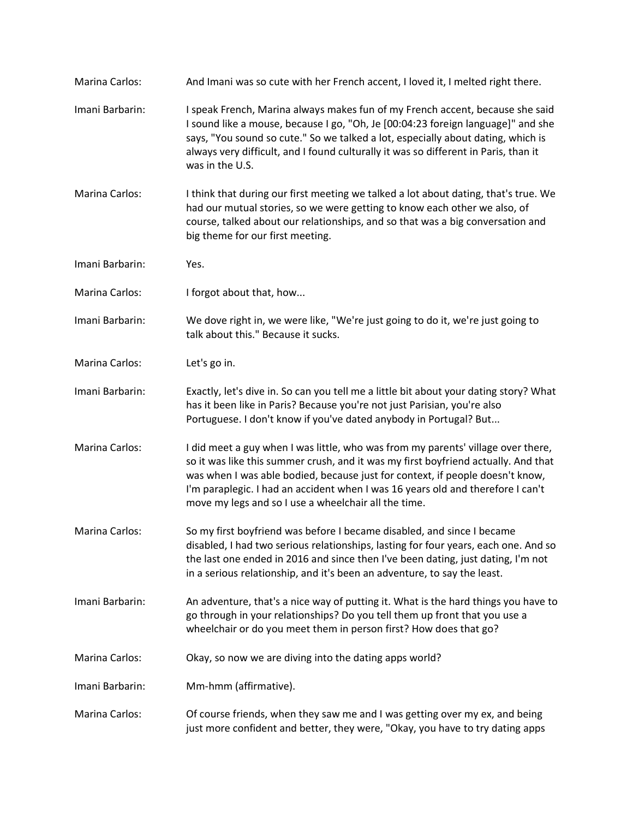| Marina Carlos:        | And Imani was so cute with her French accent, I loved it, I melted right there.                                                                                                                                                                                                                                                                                                                    |
|-----------------------|----------------------------------------------------------------------------------------------------------------------------------------------------------------------------------------------------------------------------------------------------------------------------------------------------------------------------------------------------------------------------------------------------|
| Imani Barbarin:       | I speak French, Marina always makes fun of my French accent, because she said<br>I sound like a mouse, because I go, "Oh, Je [00:04:23 foreign language]" and she<br>says, "You sound so cute." So we talked a lot, especially about dating, which is<br>always very difficult, and I found culturally it was so different in Paris, than it<br>was in the U.S.                                    |
| <b>Marina Carlos:</b> | I think that during our first meeting we talked a lot about dating, that's true. We<br>had our mutual stories, so we were getting to know each other we also, of<br>course, talked about our relationships, and so that was a big conversation and<br>big theme for our first meeting.                                                                                                             |
| Imani Barbarin:       | Yes.                                                                                                                                                                                                                                                                                                                                                                                               |
| Marina Carlos:        | I forgot about that, how                                                                                                                                                                                                                                                                                                                                                                           |
| Imani Barbarin:       | We dove right in, we were like, "We're just going to do it, we're just going to<br>talk about this." Because it sucks.                                                                                                                                                                                                                                                                             |
| Marina Carlos:        | Let's go in.                                                                                                                                                                                                                                                                                                                                                                                       |
| Imani Barbarin:       | Exactly, let's dive in. So can you tell me a little bit about your dating story? What<br>has it been like in Paris? Because you're not just Parisian, you're also<br>Portuguese. I don't know if you've dated anybody in Portugal? But                                                                                                                                                             |
| Marina Carlos:        | I did meet a guy when I was little, who was from my parents' village over there,<br>so it was like this summer crush, and it was my first boyfriend actually. And that<br>was when I was able bodied, because just for context, if people doesn't know,<br>I'm paraplegic. I had an accident when I was 16 years old and therefore I can't<br>move my legs and so I use a wheelchair all the time. |
| Marina Carlos:        | So my first boyfriend was before I became disabled, and since I became<br>disabled, I had two serious relationships, lasting for four years, each one. And so<br>the last one ended in 2016 and since then I've been dating, just dating, I'm not<br>in a serious relationship, and it's been an adventure, to say the least.                                                                      |
| Imani Barbarin:       | An adventure, that's a nice way of putting it. What is the hard things you have to<br>go through in your relationships? Do you tell them up front that you use a<br>wheelchair or do you meet them in person first? How does that go?                                                                                                                                                              |
| <b>Marina Carlos:</b> | Okay, so now we are diving into the dating apps world?                                                                                                                                                                                                                                                                                                                                             |
| Imani Barbarin:       | Mm-hmm (affirmative).                                                                                                                                                                                                                                                                                                                                                                              |
| <b>Marina Carlos:</b> | Of course friends, when they saw me and I was getting over my ex, and being<br>just more confident and better, they were, "Okay, you have to try dating apps                                                                                                                                                                                                                                       |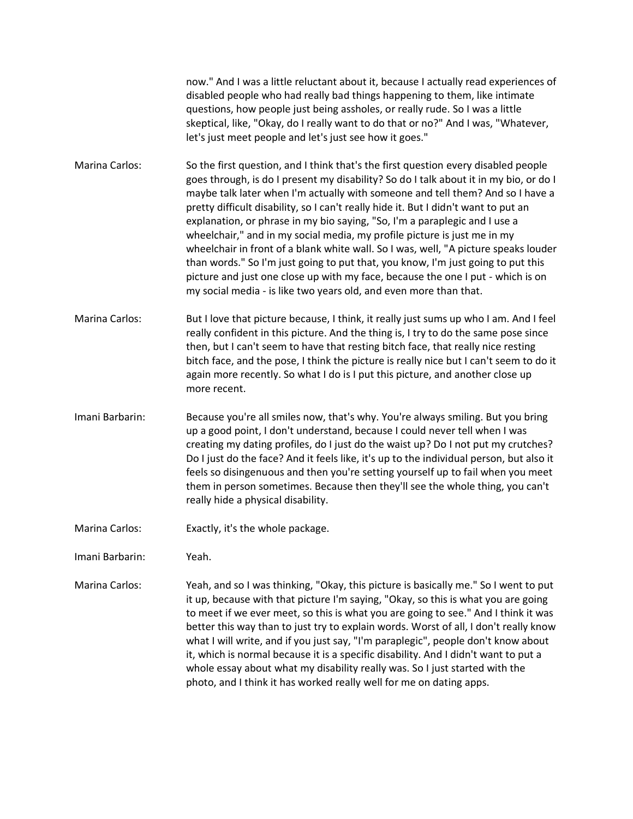now." And I was a little reluctant about it, because I actually read experiences of disabled people who had really bad things happening to them, like intimate questions, how people just being assholes, or really rude. So I was a little skeptical, like, "Okay, do I really want to do that or no?" And I was, "Whatever, let's just meet people and let's just see how it goes."

Marina Carlos: So the first question, and I think that's the first question every disabled people goes through, is do I present my disability? So do I talk about it in my bio, or do I maybe talk later when I'm actually with someone and tell them? And so I have a pretty difficult disability, so I can't really hide it. But I didn't want to put an explanation, or phrase in my bio saying, "So, I'm a paraplegic and I use a wheelchair," and in my social media, my profile picture is just me in my wheelchair in front of a blank white wall. So I was, well, "A picture speaks louder than words." So I'm just going to put that, you know, I'm just going to put this picture and just one close up with my face, because the one I put - which is on my social media - is like two years old, and even more than that.

- Marina Carlos: But I love that picture because, I think, it really just sums up who I am. And I feel really confident in this picture. And the thing is, I try to do the same pose since then, but I can't seem to have that resting bitch face, that really nice resting bitch face, and the pose, I think the picture is really nice but I can't seem to do it again more recently. So what I do is I put this picture, and another close up more recent.
- Imani Barbarin: Because you're all smiles now, that's why. You're always smiling. But you bring up a good point, I don't understand, because I could never tell when I was creating my dating profiles, do I just do the waist up? Do I not put my crutches? Do I just do the face? And it feels like, it's up to the individual person, but also it feels so disingenuous and then you're setting yourself up to fail when you meet them in person sometimes. Because then they'll see the whole thing, you can't really hide a physical disability.
- Marina Carlos: Exactly, it's the whole package.
- Imani Barbarin: Yeah.
- Marina Carlos: Yeah, and so I was thinking, "Okay, this picture is basically me." So I went to put it up, because with that picture I'm saying, "Okay, so this is what you are going to meet if we ever meet, so this is what you are going to see." And I think it was better this way than to just try to explain words. Worst of all, I don't really know what I will write, and if you just say, "I'm paraplegic", people don't know about it, which is normal because it is a specific disability. And I didn't want to put a whole essay about what my disability really was. So I just started with the photo, and I think it has worked really well for me on dating apps.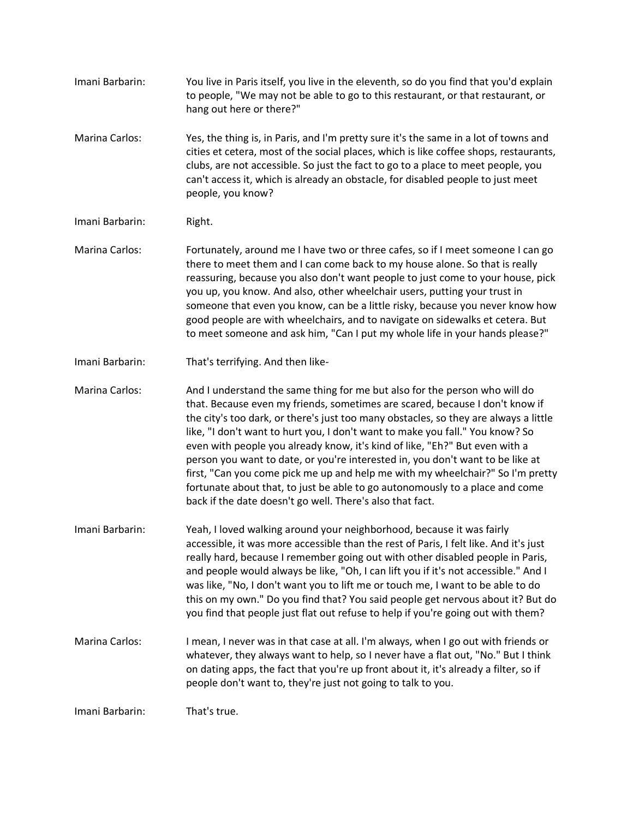Imani Barbarin: You live in Paris itself, you live in the eleventh, so do you find that you'd explain to people, "We may not be able to go to this restaurant, or that restaurant, or hang out here or there?" Marina Carlos: Yes, the thing is, in Paris, and I'm pretty sure it's the same in a lot of towns and cities et cetera, most of the social places, which is like coffee shops, restaurants, clubs, are not accessible. So just the fact to go to a place to meet people, you can't access it, which is already an obstacle, for disabled people to just meet people, you know? Imani Barbarin: Right. Marina Carlos: Fortunately, around me I have two or three cafes, so if I meet someone I can go there to meet them and I can come back to my house alone. So that is really reassuring, because you also don't want people to just come to your house, pick you up, you know. And also, other wheelchair users, putting your trust in someone that even you know, can be a little risky, because you never know how good people are with wheelchairs, and to navigate on sidewalks et cetera. But to meet someone and ask him, "Can I put my whole life in your hands please?" Imani Barbarin: That's terrifying. And then like-Marina Carlos: And I understand the same thing for me but also for the person who will do that. Because even my friends, sometimes are scared, because I don't know if the city's too dark, or there's just too many obstacles, so they are always a little like, "I don't want to hurt you, I don't want to make you fall." You know? So even with people you already know, it's kind of like, "Eh?" But even with a person you want to date, or you're interested in, you don't want to be like at first, "Can you come pick me up and help me with my wheelchair?" So I'm pretty fortunate about that, to just be able to go autonomously to a place and come back if the date doesn't go well. There's also that fact. Imani Barbarin: Yeah, I loved walking around your neighborhood, because it was fairly accessible, it was more accessible than the rest of Paris, I felt like. And it's just really hard, because I remember going out with other disabled people in Paris, and people would always be like, "Oh, I can lift you if it's not accessible." And I was like, "No, I don't want you to lift me or touch me, I want to be able to do this on my own." Do you find that? You said people get nervous about it? But do you find that people just flat out refuse to help if you're going out with them? Marina Carlos: I mean, I never was in that case at all. I'm always, when I go out with friends or whatever, they always want to help, so I never have a flat out, "No." But I think on dating apps, the fact that you're up front about it, it's already a filter, so if people don't want to, they're just not going to talk to you. Imani Barbarin: That's true.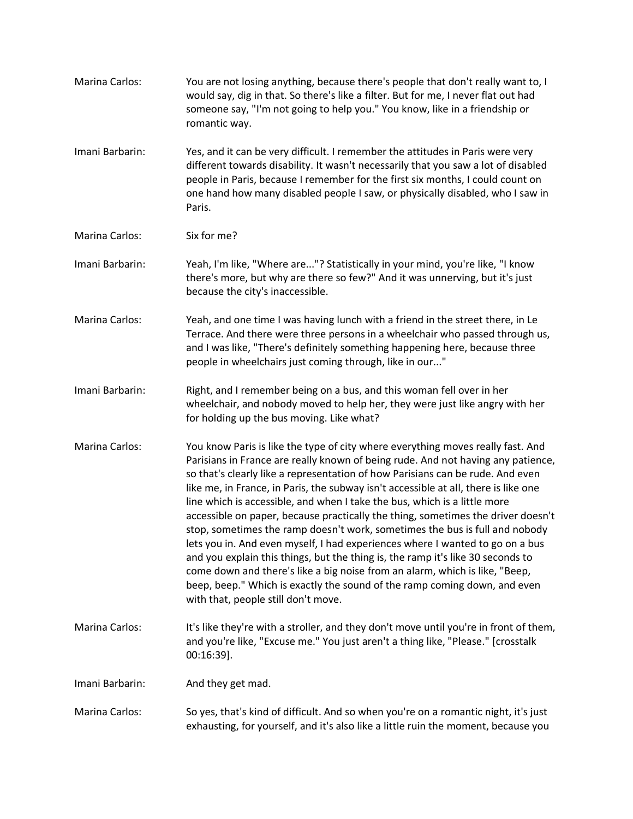| Marina Carlos:        | You are not losing anything, because there's people that don't really want to, I<br>would say, dig in that. So there's like a filter. But for me, I never flat out had<br>someone say, "I'm not going to help you." You know, like in a friendship or<br>romantic way.                                                                                                                                                                                                                                                                                                                                                                                                                                                                                                                                                                                                                                                                                              |
|-----------------------|---------------------------------------------------------------------------------------------------------------------------------------------------------------------------------------------------------------------------------------------------------------------------------------------------------------------------------------------------------------------------------------------------------------------------------------------------------------------------------------------------------------------------------------------------------------------------------------------------------------------------------------------------------------------------------------------------------------------------------------------------------------------------------------------------------------------------------------------------------------------------------------------------------------------------------------------------------------------|
| Imani Barbarin:       | Yes, and it can be very difficult. I remember the attitudes in Paris were very<br>different towards disability. It wasn't necessarily that you saw a lot of disabled<br>people in Paris, because I remember for the first six months, I could count on<br>one hand how many disabled people I saw, or physically disabled, who I saw in<br>Paris.                                                                                                                                                                                                                                                                                                                                                                                                                                                                                                                                                                                                                   |
| Marina Carlos:        | Six for me?                                                                                                                                                                                                                                                                                                                                                                                                                                                                                                                                                                                                                                                                                                                                                                                                                                                                                                                                                         |
| Imani Barbarin:       | Yeah, I'm like, "Where are"? Statistically in your mind, you're like, "I know<br>there's more, but why are there so few?" And it was unnerving, but it's just<br>because the city's inaccessible.                                                                                                                                                                                                                                                                                                                                                                                                                                                                                                                                                                                                                                                                                                                                                                   |
| Marina Carlos:        | Yeah, and one time I was having lunch with a friend in the street there, in Le<br>Terrace. And there were three persons in a wheelchair who passed through us,<br>and I was like, "There's definitely something happening here, because three<br>people in wheelchairs just coming through, like in our"                                                                                                                                                                                                                                                                                                                                                                                                                                                                                                                                                                                                                                                            |
| Imani Barbarin:       | Right, and I remember being on a bus, and this woman fell over in her<br>wheelchair, and nobody moved to help her, they were just like angry with her<br>for holding up the bus moving. Like what?                                                                                                                                                                                                                                                                                                                                                                                                                                                                                                                                                                                                                                                                                                                                                                  |
| <b>Marina Carlos:</b> | You know Paris is like the type of city where everything moves really fast. And<br>Parisians in France are really known of being rude. And not having any patience,<br>so that's clearly like a representation of how Parisians can be rude. And even<br>like me, in France, in Paris, the subway isn't accessible at all, there is like one<br>line which is accessible, and when I take the bus, which is a little more<br>accessible on paper, because practically the thing, sometimes the driver doesn't<br>stop, sometimes the ramp doesn't work, sometimes the bus is full and nobody<br>lets you in. And even myself, I had experiences where I wanted to go on a bus<br>and you explain this things, but the thing is, the ramp it's like 30 seconds to<br>come down and there's like a big noise from an alarm, which is like, "Beep,<br>beep, beep." Which is exactly the sound of the ramp coming down, and even<br>with that, people still don't move. |
| Marina Carlos:        | It's like they're with a stroller, and they don't move until you're in front of them,<br>and you're like, "Excuse me." You just aren't a thing like, "Please." [crosstalk<br>$00:16:39$ ].                                                                                                                                                                                                                                                                                                                                                                                                                                                                                                                                                                                                                                                                                                                                                                          |
| Imani Barbarin:       | And they get mad.                                                                                                                                                                                                                                                                                                                                                                                                                                                                                                                                                                                                                                                                                                                                                                                                                                                                                                                                                   |
| Marina Carlos:        | So yes, that's kind of difficult. And so when you're on a romantic night, it's just<br>exhausting, for yourself, and it's also like a little ruin the moment, because you                                                                                                                                                                                                                                                                                                                                                                                                                                                                                                                                                                                                                                                                                                                                                                                           |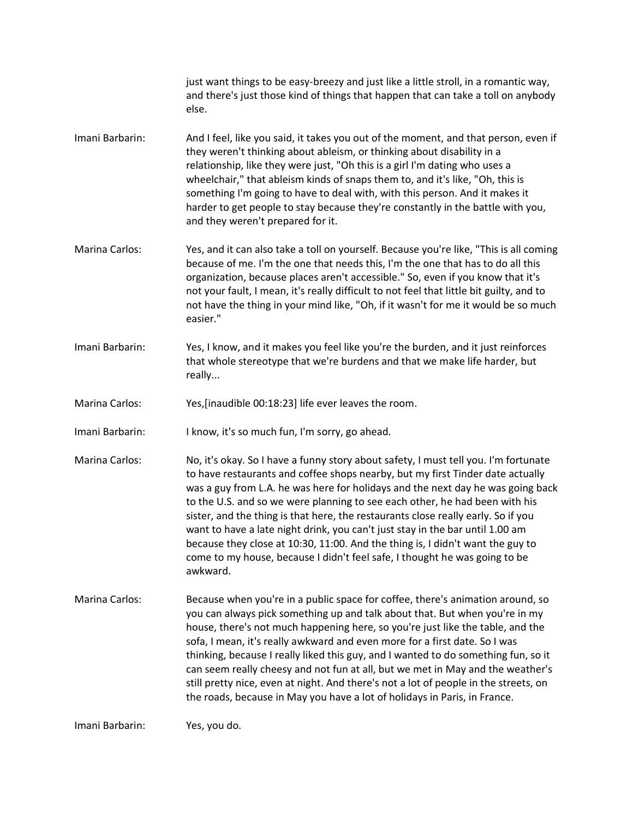|                       | just want things to be easy-breezy and just like a little stroll, in a romantic way,<br>and there's just those kind of things that happen that can take a toll on anybody<br>else.                                                                                                                                                                                                                                                                                                                                                                                                                                                                                                        |
|-----------------------|-------------------------------------------------------------------------------------------------------------------------------------------------------------------------------------------------------------------------------------------------------------------------------------------------------------------------------------------------------------------------------------------------------------------------------------------------------------------------------------------------------------------------------------------------------------------------------------------------------------------------------------------------------------------------------------------|
| Imani Barbarin:       | And I feel, like you said, it takes you out of the moment, and that person, even if<br>they weren't thinking about ableism, or thinking about disability in a<br>relationship, like they were just, "Oh this is a girl I'm dating who uses a<br>wheelchair," that ableism kinds of snaps them to, and it's like, "Oh, this is<br>something I'm going to have to deal with, with this person. And it makes it<br>harder to get people to stay because they're constantly in the battle with you,<br>and they weren't prepared for it.                                                                                                                                                      |
| Marina Carlos:        | Yes, and it can also take a toll on yourself. Because you're like, "This is all coming<br>because of me. I'm the one that needs this, I'm the one that has to do all this<br>organization, because places aren't accessible." So, even if you know that it's<br>not your fault, I mean, it's really difficult to not feel that little bit guilty, and to<br>not have the thing in your mind like, "Oh, if it wasn't for me it would be so much<br>easier."                                                                                                                                                                                                                                |
| Imani Barbarin:       | Yes, I know, and it makes you feel like you're the burden, and it just reinforces<br>that whole stereotype that we're burdens and that we make life harder, but<br>really                                                                                                                                                                                                                                                                                                                                                                                                                                                                                                                 |
| <b>Marina Carlos:</b> | Yes, [inaudible 00:18:23] life ever leaves the room.                                                                                                                                                                                                                                                                                                                                                                                                                                                                                                                                                                                                                                      |
| Imani Barbarin:       | I know, it's so much fun, I'm sorry, go ahead.                                                                                                                                                                                                                                                                                                                                                                                                                                                                                                                                                                                                                                            |
| Marina Carlos:        | No, it's okay. So I have a funny story about safety, I must tell you. I'm fortunate<br>to have restaurants and coffee shops nearby, but my first Tinder date actually<br>was a guy from L.A. he was here for holidays and the next day he was going back<br>to the U.S. and so we were planning to see each other, he had been with his<br>sister, and the thing is that here, the restaurants close really early. So if you<br>want to have a late night drink, you can't just stay in the bar until 1.00 am<br>because they close at 10:30, 11:00. And the thing is, I didn't want the guy to<br>come to my house, because I didn't feel safe, I thought he was going to be<br>awkward. |
| Marina Carlos:        | Because when you're in a public space for coffee, there's animation around, so<br>you can always pick something up and talk about that. But when you're in my<br>house, there's not much happening here, so you're just like the table, and the<br>sofa, I mean, it's really awkward and even more for a first date. So I was<br>thinking, because I really liked this guy, and I wanted to do something fun, so it<br>can seem really cheesy and not fun at all, but we met in May and the weather's<br>still pretty nice, even at night. And there's not a lot of people in the streets, on<br>the roads, because in May you have a lot of holidays in Paris, in France.                |
| Imani Barbarin:       | Yes, you do.                                                                                                                                                                                                                                                                                                                                                                                                                                                                                                                                                                                                                                                                              |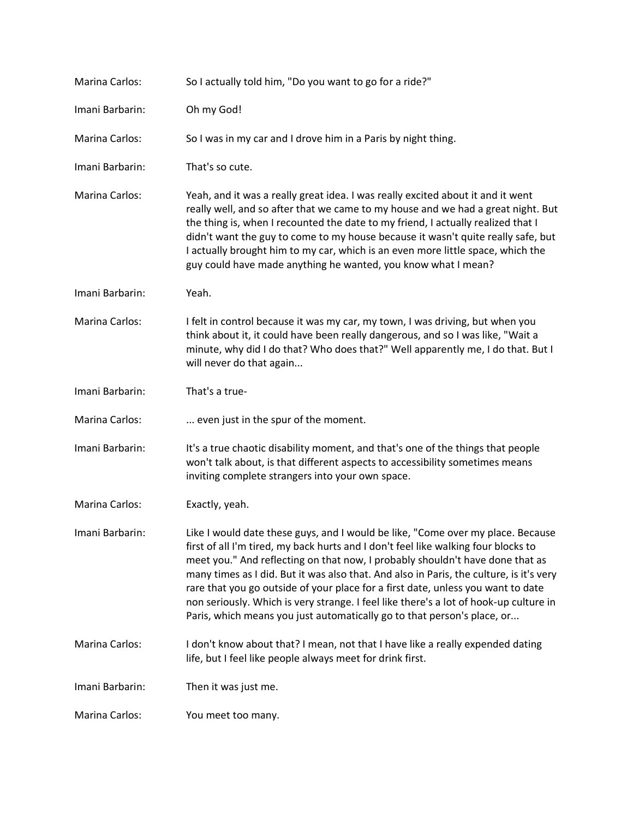| <b>Marina Carlos:</b> | So I actually told him, "Do you want to go for a ride?"                                                                                                                                                                                                                                                                                                                                                                                                                                         |
|-----------------------|-------------------------------------------------------------------------------------------------------------------------------------------------------------------------------------------------------------------------------------------------------------------------------------------------------------------------------------------------------------------------------------------------------------------------------------------------------------------------------------------------|
| Imani Barbarin:       | Oh my God!                                                                                                                                                                                                                                                                                                                                                                                                                                                                                      |
| <b>Marina Carlos:</b> | So I was in my car and I drove him in a Paris by night thing.                                                                                                                                                                                                                                                                                                                                                                                                                                   |
| Imani Barbarin:       | That's so cute.                                                                                                                                                                                                                                                                                                                                                                                                                                                                                 |
| <b>Marina Carlos:</b> | Yeah, and it was a really great idea. I was really excited about it and it went<br>really well, and so after that we came to my house and we had a great night. But<br>the thing is, when I recounted the date to my friend, I actually realized that I<br>didn't want the guy to come to my house because it wasn't quite really safe, but<br>I actually brought him to my car, which is an even more little space, which the<br>guy could have made anything he wanted, you know what I mean? |
| Imani Barbarin:       | Yeah.                                                                                                                                                                                                                                                                                                                                                                                                                                                                                           |
| <b>Marina Carlos:</b> | I felt in control because it was my car, my town, I was driving, but when you<br>think about it, it could have been really dangerous, and so I was like, "Wait a<br>minute, why did I do that? Who does that?" Well apparently me, I do that. But I<br>will never do that again                                                                                                                                                                                                                 |
| Imani Barbarin:       | That's a true-                                                                                                                                                                                                                                                                                                                                                                                                                                                                                  |
| Marina Carlos:        | even just in the spur of the moment.                                                                                                                                                                                                                                                                                                                                                                                                                                                            |
| Imani Barbarin:       | It's a true chaotic disability moment, and that's one of the things that people<br>won't talk about, is that different aspects to accessibility sometimes means<br>inviting complete strangers into your own space.                                                                                                                                                                                                                                                                             |
| <b>Marina Carlos:</b> | Exactly, yeah.                                                                                                                                                                                                                                                                                                                                                                                                                                                                                  |
| Imani Barbarin:       | Like I would date these guys, and I would be like, "Come over my place. Because<br>first of all I'm tired, my back hurts and I don't feel like walking four blocks to<br>meet you." And reflecting on that now, I probably shouldn't have done that as                                                                                                                                                                                                                                          |
|                       | many times as I did. But it was also that. And also in Paris, the culture, is it's very<br>rare that you go outside of your place for a first date, unless you want to date<br>non seriously. Which is very strange. I feel like there's a lot of hook-up culture in<br>Paris, which means you just automatically go to that person's place, or                                                                                                                                                 |
| <b>Marina Carlos:</b> | I don't know about that? I mean, not that I have like a really expended dating<br>life, but I feel like people always meet for drink first.                                                                                                                                                                                                                                                                                                                                                     |
| Imani Barbarin:       | Then it was just me.                                                                                                                                                                                                                                                                                                                                                                                                                                                                            |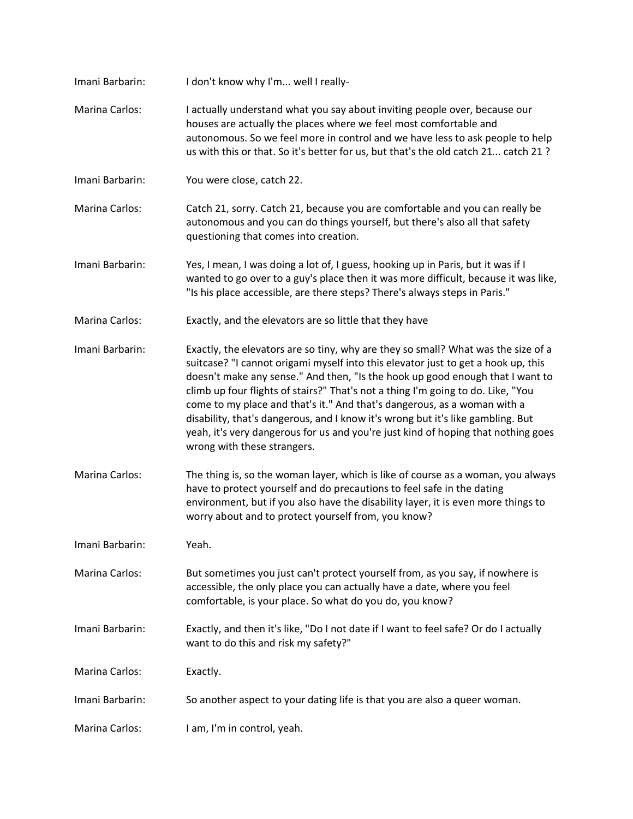| Imani Barbarin:       | I don't know why I'm well I really-                                                                                                                                                                                                                                                                                                                                                                                                                                                                                                                                                                                            |
|-----------------------|--------------------------------------------------------------------------------------------------------------------------------------------------------------------------------------------------------------------------------------------------------------------------------------------------------------------------------------------------------------------------------------------------------------------------------------------------------------------------------------------------------------------------------------------------------------------------------------------------------------------------------|
| Marina Carlos:        | I actually understand what you say about inviting people over, because our<br>houses are actually the places where we feel most comfortable and<br>autonomous. So we feel more in control and we have less to ask people to help<br>us with this or that. So it's better for us, but that's the old catch 21 catch 21 ?                                                                                                                                                                                                                                                                                                        |
| Imani Barbarin:       | You were close, catch 22.                                                                                                                                                                                                                                                                                                                                                                                                                                                                                                                                                                                                      |
| <b>Marina Carlos:</b> | Catch 21, sorry. Catch 21, because you are comfortable and you can really be<br>autonomous and you can do things yourself, but there's also all that safety<br>questioning that comes into creation.                                                                                                                                                                                                                                                                                                                                                                                                                           |
| Imani Barbarin:       | Yes, I mean, I was doing a lot of, I guess, hooking up in Paris, but it was if I<br>wanted to go over to a guy's place then it was more difficult, because it was like,<br>"Is his place accessible, are there steps? There's always steps in Paris."                                                                                                                                                                                                                                                                                                                                                                          |
| <b>Marina Carlos:</b> | Exactly, and the elevators are so little that they have                                                                                                                                                                                                                                                                                                                                                                                                                                                                                                                                                                        |
| Imani Barbarin:       | Exactly, the elevators are so tiny, why are they so small? What was the size of a<br>suitcase? "I cannot origami myself into this elevator just to get a hook up, this<br>doesn't make any sense." And then, "Is the hook up good enough that I want to<br>climb up four flights of stairs?" That's not a thing I'm going to do. Like, "You<br>come to my place and that's it." And that's dangerous, as a woman with a<br>disability, that's dangerous, and I know it's wrong but it's like gambling. But<br>yeah, it's very dangerous for us and you're just kind of hoping that nothing goes<br>wrong with these strangers. |
| <b>Marina Carlos:</b> | The thing is, so the woman layer, which is like of course as a woman, you always<br>have to protect yourself and do precautions to feel safe in the dating<br>environment, but if you also have the disability layer, it is even more things to<br>worry about and to protect yourself from, you know?                                                                                                                                                                                                                                                                                                                         |
| Imani Barbarin:       | Yeah.                                                                                                                                                                                                                                                                                                                                                                                                                                                                                                                                                                                                                          |
| <b>Marina Carlos:</b> | But sometimes you just can't protect yourself from, as you say, if nowhere is<br>accessible, the only place you can actually have a date, where you feel<br>comfortable, is your place. So what do you do, you know?                                                                                                                                                                                                                                                                                                                                                                                                           |
| Imani Barbarin:       | Exactly, and then it's like, "Do I not date if I want to feel safe? Or do I actually<br>want to do this and risk my safety?"                                                                                                                                                                                                                                                                                                                                                                                                                                                                                                   |
| Marina Carlos:        | Exactly.                                                                                                                                                                                                                                                                                                                                                                                                                                                                                                                                                                                                                       |
| Imani Barbarin:       | So another aspect to your dating life is that you are also a queer woman.                                                                                                                                                                                                                                                                                                                                                                                                                                                                                                                                                      |
| Marina Carlos:        | I am, I'm in control, yeah.                                                                                                                                                                                                                                                                                                                                                                                                                                                                                                                                                                                                    |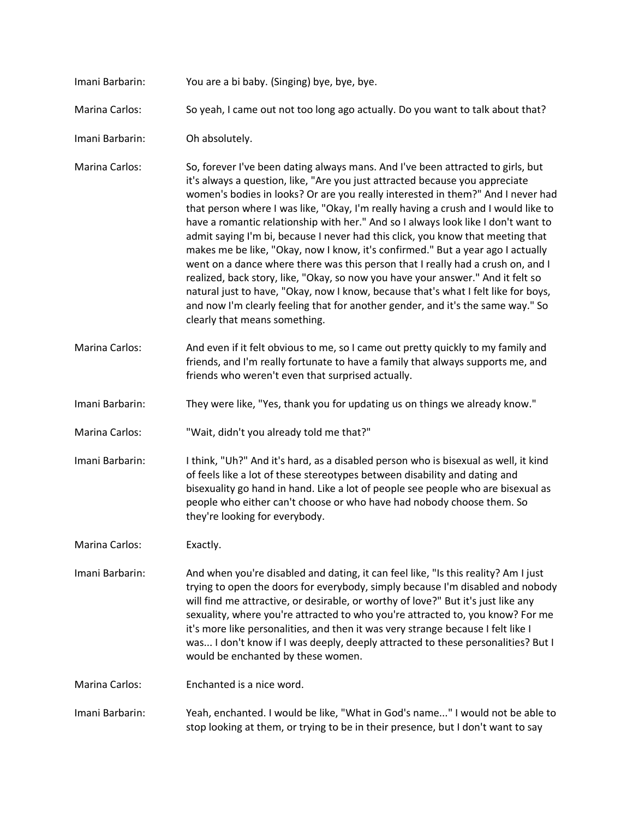- Imani Barbarin: You are a bi baby. (Singing) bye, bye, bye.
- Marina Carlos: So yeah, I came out not too long ago actually. Do you want to talk about that?
- Imani Barbarin: Oh absolutely.
- Marina Carlos: So, forever I've been dating always mans. And I've been attracted to girls, but it's always a question, like, "Are you just attracted because you appreciate women's bodies in looks? Or are you really interested in them?" And I never had that person where I was like, "Okay, I'm really having a crush and I would like to have a romantic relationship with her." And so I always look like I don't want to admit saying I'm bi, because I never had this click, you know that meeting that makes me be like, "Okay, now I know, it's confirmed." But a year ago I actually went on a dance where there was this person that I really had a crush on, and I realized, back story, like, "Okay, so now you have your answer." And it felt so natural just to have, "Okay, now I know, because that's what I felt like for boys, and now I'm clearly feeling that for another gender, and it's the same way." So clearly that means something.
- Marina Carlos: And even if it felt obvious to me, so I came out pretty quickly to my family and friends, and I'm really fortunate to have a family that always supports me, and friends who weren't even that surprised actually.
- Imani Barbarin: They were like, "Yes, thank you for updating us on things we already know."
- Marina Carlos: "Wait, didn't you already told me that?"
- Imani Barbarin: I think, "Uh?" And it's hard, as a disabled person who is bisexual as well, it kind of feels like a lot of these stereotypes between disability and dating and bisexuality go hand in hand. Like a lot of people see people who are bisexual as people who either can't choose or who have had nobody choose them. So they're looking for everybody.
- Marina Carlos: Exactly.
- Imani Barbarin: And when you're disabled and dating, it can feel like, "Is this reality? Am I just trying to open the doors for everybody, simply because I'm disabled and nobody will find me attractive, or desirable, or worthy of love?" But it's just like any sexuality, where you're attracted to who you're attracted to, you know? For me it's more like personalities, and then it was very strange because I felt like I was... I don't know if I was deeply, deeply attracted to these personalities? But I would be enchanted by these women.
- Marina Carlos: Enchanted is a nice word.
- Imani Barbarin: Yeah, enchanted. I would be like, "What in God's name..." I would not be able to stop looking at them, or trying to be in their presence, but I don't want to say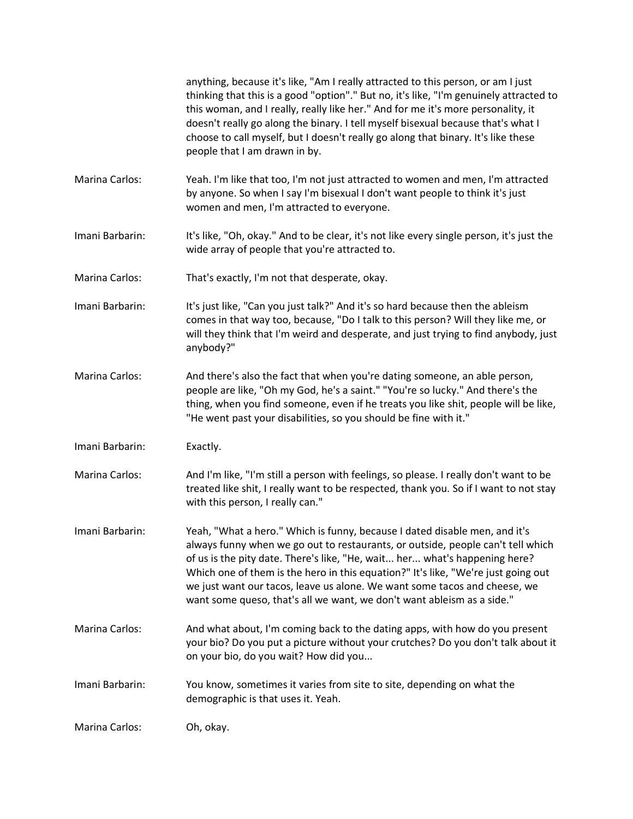|                       | anything, because it's like, "Am I really attracted to this person, or am I just<br>thinking that this is a good "option"." But no, it's like, "I'm genuinely attracted to<br>this woman, and I really, really like her." And for me it's more personality, it<br>doesn't really go along the binary. I tell myself bisexual because that's what I<br>choose to call myself, but I doesn't really go along that binary. It's like these<br>people that I am drawn in by.                |
|-----------------------|-----------------------------------------------------------------------------------------------------------------------------------------------------------------------------------------------------------------------------------------------------------------------------------------------------------------------------------------------------------------------------------------------------------------------------------------------------------------------------------------|
| Marina Carlos:        | Yeah. I'm like that too, I'm not just attracted to women and men, I'm attracted<br>by anyone. So when I say I'm bisexual I don't want people to think it's just<br>women and men, I'm attracted to everyone.                                                                                                                                                                                                                                                                            |
| Imani Barbarin:       | It's like, "Oh, okay." And to be clear, it's not like every single person, it's just the<br>wide array of people that you're attracted to.                                                                                                                                                                                                                                                                                                                                              |
| Marina Carlos:        | That's exactly, I'm not that desperate, okay.                                                                                                                                                                                                                                                                                                                                                                                                                                           |
| Imani Barbarin:       | It's just like, "Can you just talk?" And it's so hard because then the ableism<br>comes in that way too, because, "Do I talk to this person? Will they like me, or<br>will they think that I'm weird and desperate, and just trying to find anybody, just<br>anybody?"                                                                                                                                                                                                                  |
| Marina Carlos:        | And there's also the fact that when you're dating someone, an able person,<br>people are like, "Oh my God, he's a saint." "You're so lucky." And there's the<br>thing, when you find someone, even if he treats you like shit, people will be like,<br>"He went past your disabilities, so you should be fine with it."                                                                                                                                                                 |
| Imani Barbarin:       | Exactly.                                                                                                                                                                                                                                                                                                                                                                                                                                                                                |
| <b>Marina Carlos:</b> | And I'm like, "I'm still a person with feelings, so please. I really don't want to be<br>treated like shit, I really want to be respected, thank you. So if I want to not stay<br>with this person, I really can."                                                                                                                                                                                                                                                                      |
| Imani Barbarin:       | Yeah, "What a hero." Which is funny, because I dated disable men, and it's<br>always funny when we go out to restaurants, or outside, people can't tell which<br>of us is the pity date. There's like, "He, wait her what's happening here?<br>Which one of them is the hero in this equation?" It's like, "We're just going out<br>we just want our tacos, leave us alone. We want some tacos and cheese, we<br>want some queso, that's all we want, we don't want ableism as a side." |
| <b>Marina Carlos:</b> | And what about, I'm coming back to the dating apps, with how do you present<br>your bio? Do you put a picture without your crutches? Do you don't talk about it<br>on your bio, do you wait? How did you                                                                                                                                                                                                                                                                                |
| Imani Barbarin:       | You know, sometimes it varies from site to site, depending on what the<br>demographic is that uses it. Yeah.                                                                                                                                                                                                                                                                                                                                                                            |
| Marina Carlos:        | Oh, okay.                                                                                                                                                                                                                                                                                                                                                                                                                                                                               |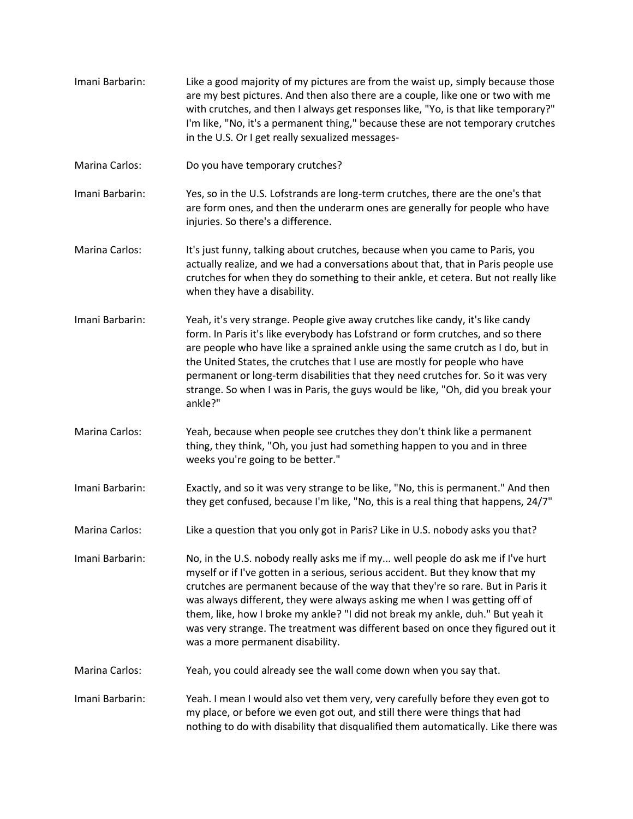- Imani Barbarin: Like a good majority of my pictures are from the waist up, simply because those are my best pictures. And then also there are a couple, like one or two with me with crutches, and then I always get responses like, "Yo, is that like temporary?" I'm like, "No, it's a permanent thing," because these are not temporary crutches in the U.S. Or I get really sexualized messages-
- Marina Carlos: Do you have temporary crutches?
- Imani Barbarin: Yes, so in the U.S. Lofstrands are long-term crutches, there are the one's that are form ones, and then the underarm ones are generally for people who have injuries. So there's a difference.
- Marina Carlos: It's just funny, talking about crutches, because when you came to Paris, you actually realize, and we had a conversations about that, that in Paris people use crutches for when they do something to their ankle, et cetera. But not really like when they have a disability.
- Imani Barbarin: Yeah, it's very strange. People give away crutches like candy, it's like candy form. In Paris it's like everybody has Lofstrand or form crutches, and so there are people who have like a sprained ankle using the same crutch as I do, but in the United States, the crutches that I use are mostly for people who have permanent or long-term disabilities that they need crutches for. So it was very strange. So when I was in Paris, the guys would be like, "Oh, did you break your ankle?"
- Marina Carlos: Yeah, because when people see crutches they don't think like a permanent thing, they think, "Oh, you just had something happen to you and in three weeks you're going to be better."
- Imani Barbarin: Exactly, and so it was very strange to be like, "No, this is permanent." And then they get confused, because I'm like, "No, this is a real thing that happens, 24/7"
- Marina Carlos: Like a question that you only got in Paris? Like in U.S. nobody asks you that?
- Imani Barbarin: No, in the U.S. nobody really asks me if my... well people do ask me if I've hurt myself or if I've gotten in a serious, serious accident. But they know that my crutches are permanent because of the way that they're so rare. But in Paris it was always different, they were always asking me when I was getting off of them, like, how I broke my ankle? "I did not break my ankle, duh." But yeah it was very strange. The treatment was different based on once they figured out it was a more permanent disability.
- Marina Carlos: Yeah, you could already see the wall come down when you say that.
- Imani Barbarin: Yeah. I mean I would also vet them very, very carefully before they even got to my place, or before we even got out, and still there were things that had nothing to do with disability that disqualified them automatically. Like there was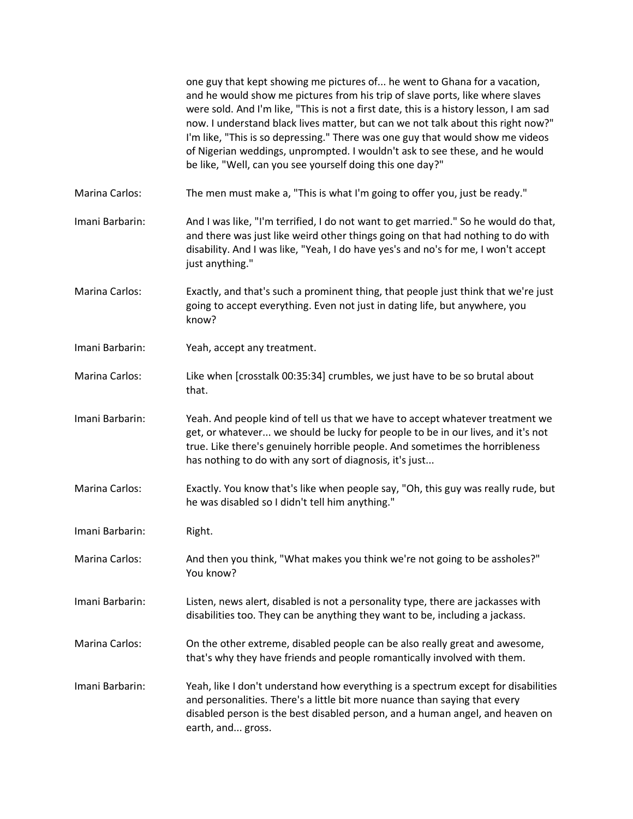|                       | one guy that kept showing me pictures of he went to Ghana for a vacation,<br>and he would show me pictures from his trip of slave ports, like where slaves<br>were sold. And I'm like, "This is not a first date, this is a history lesson, I am sad<br>now. I understand black lives matter, but can we not talk about this right now?"<br>I'm like, "This is so depressing." There was one guy that would show me videos<br>of Nigerian weddings, unprompted. I wouldn't ask to see these, and he would<br>be like, "Well, can you see yourself doing this one day?" |
|-----------------------|------------------------------------------------------------------------------------------------------------------------------------------------------------------------------------------------------------------------------------------------------------------------------------------------------------------------------------------------------------------------------------------------------------------------------------------------------------------------------------------------------------------------------------------------------------------------|
| Marina Carlos:        | The men must make a, "This is what I'm going to offer you, just be ready."                                                                                                                                                                                                                                                                                                                                                                                                                                                                                             |
| Imani Barbarin:       | And I was like, "I'm terrified, I do not want to get married." So he would do that,<br>and there was just like weird other things going on that had nothing to do with<br>disability. And I was like, "Yeah, I do have yes's and no's for me, I won't accept<br>just anything."                                                                                                                                                                                                                                                                                        |
| Marina Carlos:        | Exactly, and that's such a prominent thing, that people just think that we're just<br>going to accept everything. Even not just in dating life, but anywhere, you<br>know?                                                                                                                                                                                                                                                                                                                                                                                             |
| Imani Barbarin:       | Yeah, accept any treatment.                                                                                                                                                                                                                                                                                                                                                                                                                                                                                                                                            |
| <b>Marina Carlos:</b> | Like when [crosstalk 00:35:34] crumbles, we just have to be so brutal about<br>that.                                                                                                                                                                                                                                                                                                                                                                                                                                                                                   |
| Imani Barbarin:       | Yeah. And people kind of tell us that we have to accept whatever treatment we<br>get, or whatever we should be lucky for people to be in our lives, and it's not<br>true. Like there's genuinely horrible people. And sometimes the horribleness<br>has nothing to do with any sort of diagnosis, it's just                                                                                                                                                                                                                                                            |
| Marina Carlos:        | Exactly. You know that's like when people say, "Oh, this guy was really rude, but<br>he was disabled so I didn't tell him anything."                                                                                                                                                                                                                                                                                                                                                                                                                                   |
| Imani Barbarin:       | Right.                                                                                                                                                                                                                                                                                                                                                                                                                                                                                                                                                                 |
| Marina Carlos:        | And then you think, "What makes you think we're not going to be assholes?"<br>You know?                                                                                                                                                                                                                                                                                                                                                                                                                                                                                |
| Imani Barbarin:       | Listen, news alert, disabled is not a personality type, there are jackasses with<br>disabilities too. They can be anything they want to be, including a jackass.                                                                                                                                                                                                                                                                                                                                                                                                       |
| Marina Carlos:        | On the other extreme, disabled people can be also really great and awesome,<br>that's why they have friends and people romantically involved with them.                                                                                                                                                                                                                                                                                                                                                                                                                |
| Imani Barbarin:       | Yeah, like I don't understand how everything is a spectrum except for disabilities<br>and personalities. There's a little bit more nuance than saying that every<br>disabled person is the best disabled person, and a human angel, and heaven on<br>earth, and gross.                                                                                                                                                                                                                                                                                                 |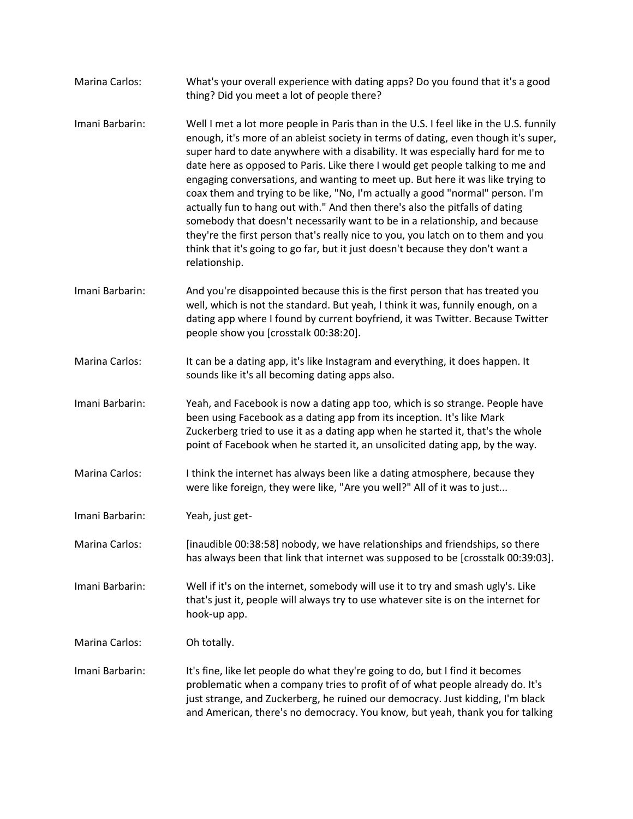| Marina Carlos:        | What's your overall experience with dating apps? Do you found that it's a good<br>thing? Did you meet a lot of people there?                                                                                                                                                                                                                                                                                                                                                                                                                                                                                                                                                                                                                                                                                                                                                 |
|-----------------------|------------------------------------------------------------------------------------------------------------------------------------------------------------------------------------------------------------------------------------------------------------------------------------------------------------------------------------------------------------------------------------------------------------------------------------------------------------------------------------------------------------------------------------------------------------------------------------------------------------------------------------------------------------------------------------------------------------------------------------------------------------------------------------------------------------------------------------------------------------------------------|
| Imani Barbarin:       | Well I met a lot more people in Paris than in the U.S. I feel like in the U.S. funnily<br>enough, it's more of an ableist society in terms of dating, even though it's super,<br>super hard to date anywhere with a disability. It was especially hard for me to<br>date here as opposed to Paris. Like there I would get people talking to me and<br>engaging conversations, and wanting to meet up. But here it was like trying to<br>coax them and trying to be like, "No, I'm actually a good "normal" person. I'm<br>actually fun to hang out with." And then there's also the pitfalls of dating<br>somebody that doesn't necessarily want to be in a relationship, and because<br>they're the first person that's really nice to you, you latch on to them and you<br>think that it's going to go far, but it just doesn't because they don't want a<br>relationship. |
| Imani Barbarin:       | And you're disappointed because this is the first person that has treated you<br>well, which is not the standard. But yeah, I think it was, funnily enough, on a<br>dating app where I found by current boyfriend, it was Twitter. Because Twitter<br>people show you [crosstalk 00:38:20].                                                                                                                                                                                                                                                                                                                                                                                                                                                                                                                                                                                  |
| Marina Carlos:        | It can be a dating app, it's like Instagram and everything, it does happen. It<br>sounds like it's all becoming dating apps also.                                                                                                                                                                                                                                                                                                                                                                                                                                                                                                                                                                                                                                                                                                                                            |
| Imani Barbarin:       | Yeah, and Facebook is now a dating app too, which is so strange. People have<br>been using Facebook as a dating app from its inception. It's like Mark<br>Zuckerberg tried to use it as a dating app when he started it, that's the whole<br>point of Facebook when he started it, an unsolicited dating app, by the way.                                                                                                                                                                                                                                                                                                                                                                                                                                                                                                                                                    |
| Marina Carlos:        | I think the internet has always been like a dating atmosphere, because they<br>were like foreign, they were like, "Are you well?" All of it was to just                                                                                                                                                                                                                                                                                                                                                                                                                                                                                                                                                                                                                                                                                                                      |
| Imani Barbarin:       | Yeah, just get-                                                                                                                                                                                                                                                                                                                                                                                                                                                                                                                                                                                                                                                                                                                                                                                                                                                              |
| Marina Carlos:        | [inaudible 00:38:58] nobody, we have relationships and friendships, so there<br>has always been that link that internet was supposed to be [crosstalk 00:39:03].                                                                                                                                                                                                                                                                                                                                                                                                                                                                                                                                                                                                                                                                                                             |
| Imani Barbarin:       | Well if it's on the internet, somebody will use it to try and smash ugly's. Like<br>that's just it, people will always try to use whatever site is on the internet for<br>hook-up app.                                                                                                                                                                                                                                                                                                                                                                                                                                                                                                                                                                                                                                                                                       |
| <b>Marina Carlos:</b> | Oh totally.                                                                                                                                                                                                                                                                                                                                                                                                                                                                                                                                                                                                                                                                                                                                                                                                                                                                  |
| Imani Barbarin:       | It's fine, like let people do what they're going to do, but I find it becomes<br>problematic when a company tries to profit of of what people already do. It's<br>just strange, and Zuckerberg, he ruined our democracy. Just kidding, I'm black<br>and American, there's no democracy. You know, but yeah, thank you for talking                                                                                                                                                                                                                                                                                                                                                                                                                                                                                                                                            |